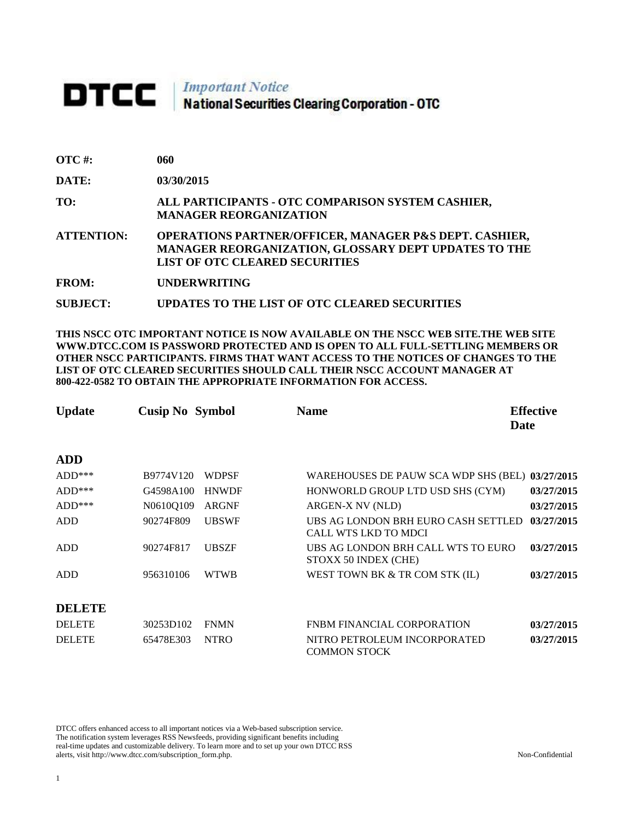## **DTCC** National Securities Clearing Corporation - OTC

| <b>OTC</b> #:     | 060                                                                                                                                                                |
|-------------------|--------------------------------------------------------------------------------------------------------------------------------------------------------------------|
| DATE:             | 03/30/2015                                                                                                                                                         |
| TO:               | ALL PARTICIPANTS - OTC COMPARISON SYSTEM CASHIER,<br><b>MANAGER REORGANIZATION</b>                                                                                 |
| <b>ATTENTION:</b> | <b>OPERATIONS PARTNER/OFFICER, MANAGER P&amp;S DEPT. CASHIER,</b><br>MANAGER REORGANIZATION, GLOSSARY DEPT UPDATES TO THE<br><b>LIST OF OTC CLEARED SECURITIES</b> |
| <b>FROM:</b>      | <b>UNDERWRITING</b>                                                                                                                                                |

**SUBJECT: UPDATES TO THE LIST OF OTC CLEARED SECURITIES**

**THIS NSCC OTC IMPORTANT NOTICE IS NOW AVAILABLE ON THE NSCC WEB SITE.THE WEB SITE WWW.DTCC.COM IS PASSWORD PROTECTED AND IS OPEN TO ALL FULL-SETTLING MEMBERS OR OTHER NSCC PARTICIPANTS. FIRMS THAT WANT ACCESS TO THE NOTICES OF CHANGES TO THE LIST OF OTC CLEARED SECURITIES SHOULD CALL THEIR NSCC ACCOUNT MANAGER AT 800-422-0582 TO OBTAIN THE APPROPRIATE INFORMATION FOR ACCESS.** 

| <b>Update</b> | <b>Cusip No Symbol</b> |              | <b>Name</b><br>Date                                                | <b>Effective</b> |
|---------------|------------------------|--------------|--------------------------------------------------------------------|------------------|
| <b>ADD</b>    |                        |              |                                                                    |                  |
| $ADD***$      | B9774V120              | <b>WDPSF</b> | WAREHOUSES DE PAUW SCA WDP SHS (BEL)                               | 03/27/2015       |
| $ADD***$      | G4598A100              | <b>HNWDF</b> | HONWORLD GROUP LTD USD SHS (CYM)                                   | 03/27/2015       |
| $ADD***$      | N0610Q109              | <b>ARGNF</b> | ARGEN-X NV (NLD)                                                   | 03/27/2015       |
| <b>ADD</b>    | 90274F809              | <b>UBSWF</b> | UBS AG LONDON BRH EURO CASH SETTLED<br><b>CALL WTS LKD TO MDCI</b> | 03/27/2015       |
| <b>ADD</b>    | 90274F817              | <b>UBSZF</b> | UBS AG LONDON BRH CALL WTS TO EURO<br>STOXX 50 INDEX (CHE)         | 03/27/2015       |
| <b>ADD</b>    | 956310106              | <b>WTWB</b>  | WEST TOWN BK & TR COM STK (IL)                                     | 03/27/2015       |
| <b>DELETE</b> |                        |              |                                                                    |                  |
| <b>DELETE</b> | 30253D102              | <b>FNMN</b>  | <b>FNBM FINANCIAL CORPORATION</b>                                  | 03/27/2015       |
| <b>DELETE</b> | 65478E303              | <b>NTRO</b>  | NITRO PETROLEUM INCORPORATED<br><b>COMMON STOCK</b>                | 03/27/2015       |

DTCC offers enhanced access to all important notices via a Web-based subscription service. The notification system leverages RSS Newsfeeds, providing significant benefits including real-time updates and customizable delivery. To learn more and to set up your own DTCC RSS alerts, visit http://www.dtcc.com/subscription\_form.php. Non-Confidential